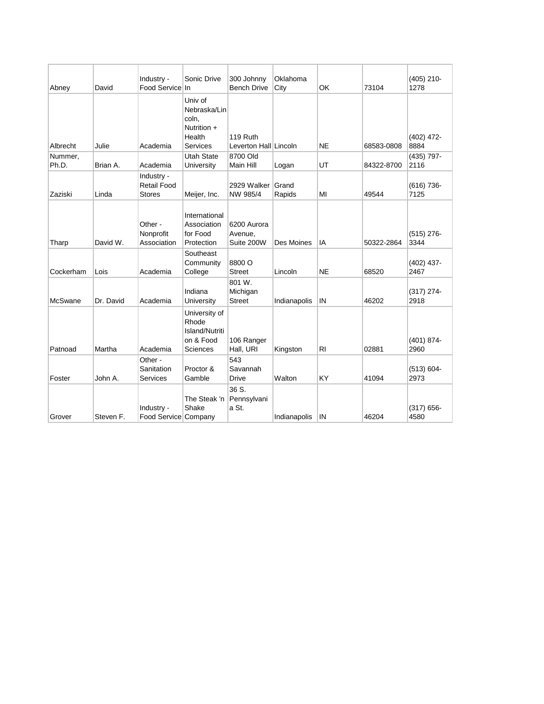| Abney            | David     | Industry -<br>Food Service In                     | Sonic Drive                                                           | 300 Johnny<br><b>Bench Drive</b>     | Oklahoma<br>City | OK             | 73104      | $(405)$ 210-<br>1278  |
|------------------|-----------|---------------------------------------------------|-----------------------------------------------------------------------|--------------------------------------|------------------|----------------|------------|-----------------------|
| Albrecht         | Julie     | Academia                                          | Univ of<br>Nebraska/Lin<br>coln.<br>Nutrition +<br>Health<br>Services | 119 Ruth<br>Leverton Hall Lincoln    |                  | <b>NE</b>      | 68583-0808 | $(402)$ 472-<br>8884  |
| Nummer,<br>Ph.D. | Brian A.  | Academia                                          | <b>Utah State</b><br>University                                       | 8700 Old<br>Main Hill                | Logan            | UT             | 84322-8700 | $(435)$ 797-<br>2116  |
| Zaziski          | Linda     | Industry -<br><b>Retail Food</b><br><b>Stores</b> | Meijer, Inc.                                                          | 2929 Walker Grand<br>NW 985/4        | Rapids           | МΙ             | 49544      | (616) 736-<br>7125    |
| Tharp            | David W.  | Other -<br>Nonprofit<br>Association               | International<br>Association<br>for Food<br>Protection                | 6200 Aurora<br>Avenue,<br>Suite 200W | Des Moines       | ΙA             | 50322-2864 | $(515)$ 276-<br>3344  |
| Cockerham        | Lois      | Academia                                          | Southeast<br>Community<br>College                                     | 8800 O<br><b>Street</b>              | Lincoln          | <b>NE</b>      | 68520      | $(402)$ 437-<br>2467  |
| <b>McSwane</b>   | Dr. David | Academia                                          | Indiana<br>University                                                 | 801 W.<br>Michigan<br><b>Street</b>  | Indianapolis     | IN             | 46202      | $(317) 274 -$<br>2918 |
| Patnoad          | Martha    | Academia                                          | University of<br>Rhode<br>Island/Nutriti<br>on & Food<br>Sciences     | 106 Ranger<br>Hall, URI              | Kingston         | R <sub>l</sub> | 02881      | (401) 874-<br>2960    |
| Foster           | John A.   | Other -<br>Sanitation<br><b>Services</b>          | Proctor &<br>Gamble                                                   | 543<br>Savannah<br><b>Drive</b>      | Walton           | KY             | 41094      | $(513) 604 -$<br>2973 |
| Grover           | Steven F. | Industry -<br>Food Service Company                | The Steak 'n<br>Shake                                                 | 36 S.<br>Pennsylvani<br>a St.        | Indianapolis     | IN             | 46204      | $(317) 656 -$<br>4580 |